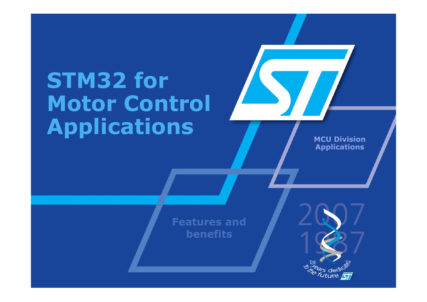# **STM32 for Motor Control Applications**

**MCU DivisionApplications**

**Features and benefits**

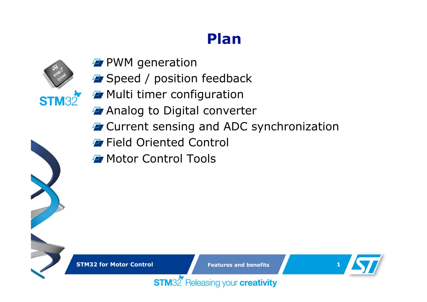### **Plan**



- **P** PWM generation
- **F** Speed / position feedback
- **F** Multi timer configuration
- *A* Analog to Digital converter
- **T** Current sensing and ADC synchronization
- **F** Field Oriented Control
- **F** Motor Control Tools

**STM32 for Motor Control**

**Features and benefits**

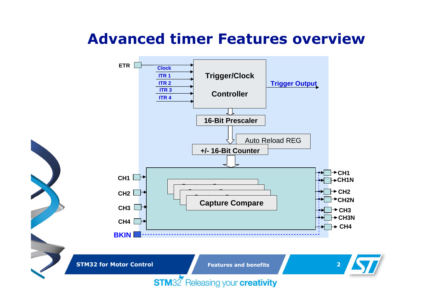### **Advanced timer Features overview**



**STM32 for Motor Control**

**Features and benefits**

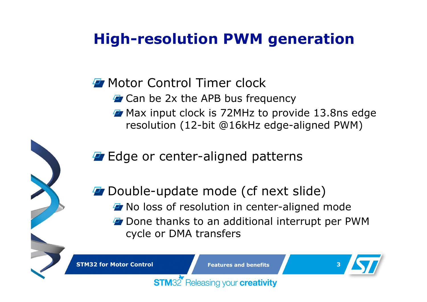## **High-resolution PWM generation**

**F** Motor Control Timer clock

**STM32** 

- **T** Can be 2x the APB bus frequency
- **T** Max input clock is 72MHz to provide 13.8ns edge resolution (12-bit @16kHz edge-aligned PWM)

**Edge or center-aligned patterns** 

**Double-update mode (cf next slide) T** No loss of resolution in center-aligned mode *F* Done thanks to an additional interrupt per PWM cycle or DMA transfers

**STM32 for Motor Control**

 **Features and benefits3**

Releasing your creativity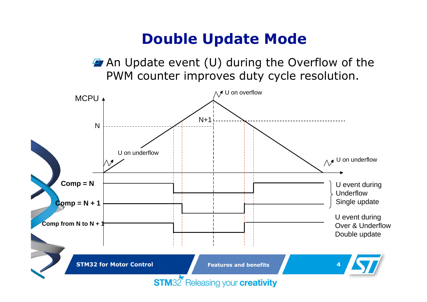### **Double Update Mode**

**An Update event (U) during the Overflow of the** PWM counter improves duty cycle resolution.

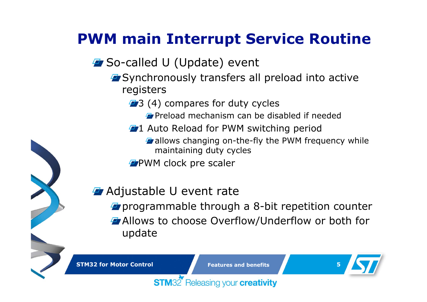## **PWM main Interrupt Service Routine**

### **F** So-called U (Update) event

- **F** Synchronously transfers all preload into active registers
	- **43** (4) compares for duty cycles
		- **Preload mechanism can be disabled if needed**
	- **41 Auto Reload for PWM switching period** 
		- **F** allows changing on-the-fly the PWM frequency while maintaining duty cycles
	- **PVM** clock pre scaler

### **Adjustable U event rate**

**P** programmable through a 8-bit repetition counter Allows to choose Overflow/Underflow or both for update

**STM32 for Motor Control**

**Features and benefits**



#### Releasing your creativity **STM32**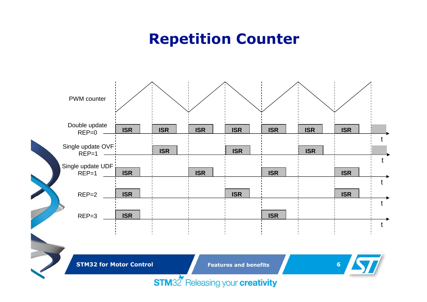### **Repetition Counter**



**STM32 for Motor Control**

**Features and benefits**

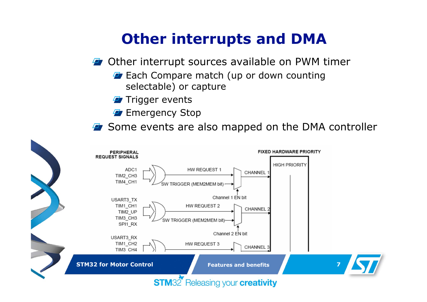### **Other interrupts and DMA**

- **F** Other interrupt sources available on PWM timer
	- **Ex** Each Compare match (up or down counting selectable) or capture
	- **F** Trigger events
	- **Exergency Stop**
- **F** Some events are also mapped on the DMA controller

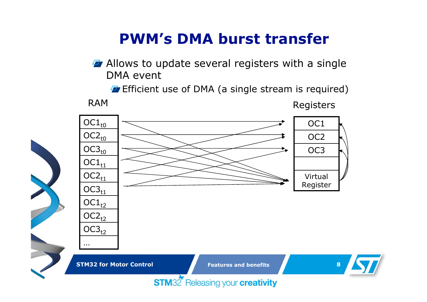### **PWM's DMA burst transfer**

**Allows to update several registers with a single** DMA event

**E** Efficient use of DMA (a single stream is required)



Registers

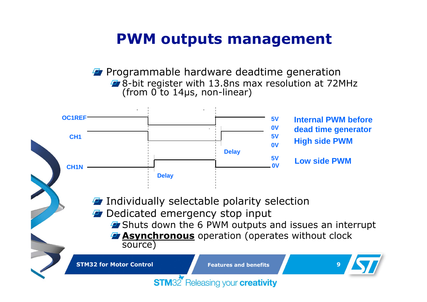### **PWM outputs management**

**Programmable hardware deadtime generation 4** 8-bit register with 13.8ns max resolution at 72MHz (from 0 to 14us, non-linear)



- *F* Dedicated emergency stop input
	- **E** Shuts down the 6 PWM outputs and issues an interrupt
	- *Asynchronous* operation (operates without clock source)

**STM32 for Motor Control**

 **Features and benefits9**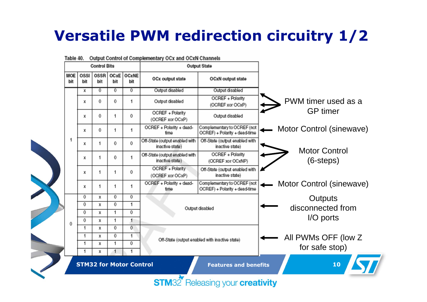## **Versatile PWM redirection circuitry 1/2**



Output Control of Complementary OCx and OCxN Channels Table 40.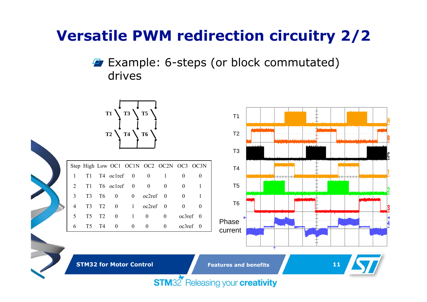### **Versatile PWM redirection circuitry 2/2**

### **Example: 6-steps (or block commutated)** drives



**STM32 for Motor Control**

**Features and benefits**

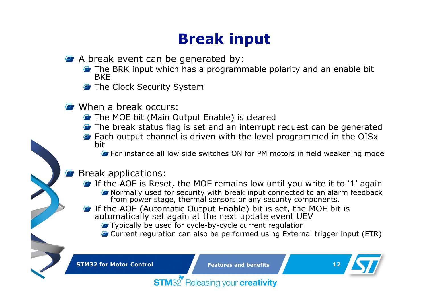## **Break input**

- $\overline{P}$  A break event can be generated by:
	- **T** The BRK input which has a programmable polarity and an enable bit BKE
	- **T** The Clock Security System
- **F** When a break occurs:
	- **T** The MOE bit (Main Output Enable) is cleared
	- **T** The break status flag is set and an interrupt request can be generated
	- **Each output channel is driven with the level programmed in the OISx** bit
		- **F** For instance all low side switches ON for PM motors in field weakening mode

#### Break applications:

- $\blacktriangleright$  If the AOE is Reset, the MOE remains low until you write it to '1' again
	- **T** Normally used for security with break input connected to an alarm feedback from power stage, thermal sensors or any security components.
- If the AOE (Automatic Output Enable) bit is set, the MOE bit is automatically set again at the next update event UEV
	- **T** Typically be used for cycle-by-cycle current regulation
	- **T** Current regulation can also be performed using External trigger input (ETR)

**STM32 for Motor Control**

**Features and benefits**

Releasing your creativity

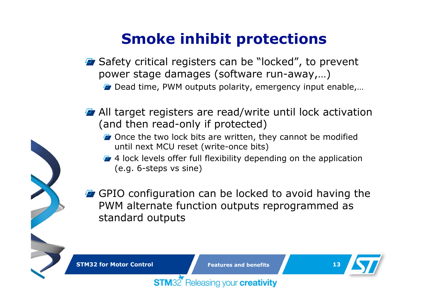## **Smoke inhibit protections**

- **E** Safety critical registers can be "locked", to prevent power stage damages (software run-away,…)
	- **Dead time, PWM outputs polarity, emergency input enable,...**
- **F** All target registers are read/write until lock activation (and then read-only if protected)
	- **T** Once the two lock bits are written, they cannot be modified until next MCU reset (write-once bits)
	- **4** 4 lock levels offer full flexibility depending on the application (e.g. 6-steps vs sine)
- **F** GPIO configuration can be locked to avoid having the PWM alternate function outputs reprogrammed as standard outputs

**STM32 for Motor Control**

 **Features and benefits13**

Releasing your creativity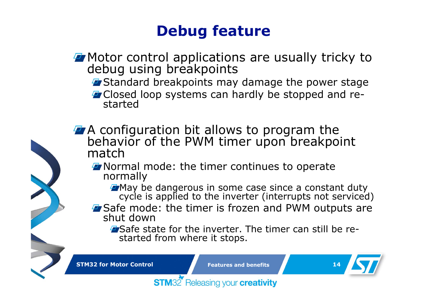### **Debug feature**

### **F** Motor control applications are usually tricky to debug using breakpoints

- **F** Standard breakpoints may damage the power stage
- **T** Closed loop systems can hardly be stopped and restarted
- A configuration bit allows to program the behavior of the PWM timer upon breakpoint match
	- **T** Normal mode: the timer continues to operate normally
		- **T** May be dangerous in some case since a constant duty cycle is applied to the inverter (interrupts not serviced)
	- **F** Safe mode: the timer is frozen and PWM outputs are shut down
		- **E** Safe state for the inverter. The timer can still be restarted from where it stops.

**STM32 for Motor Control**

**STM32** 

**Features and benefits**

Releasing your creativity

**14**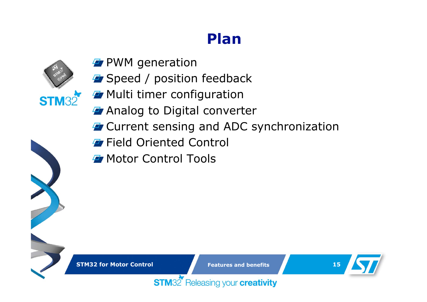### **Plan**



- **P** PWM generation
- **F** Speed / position feedback
- **F** Multi timer configuration
- *A* Analog to Digital converter
- **T** Current sensing and ADC synchronization
- **F** Field Oriented Control
- **F** Motor Control Tools

**STM32 for Motor Control**

**Features and benefits**

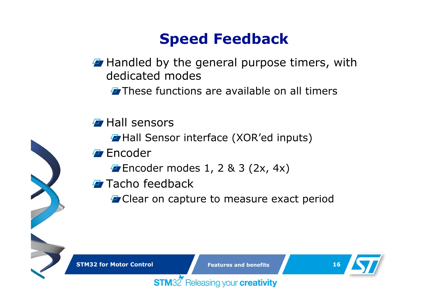### **Speed Feedback**

**Handled by the general purpose timers, with** dedicated modes

**T** These functions are available on all timers

- **Hall sensors** 
	- **Hall Sensor interface (XOR'ed inputs)**
- **Encoder** 
	- $\blacktriangleright$  Encoder modes 1, 2 & 3 (2x, 4x)
- Tacho feedback
	- **F** Clear on capture to measure exact period

**STM32** Releasing your **creativity** 

**STM32 for Motor Control**

**Features and benefits**

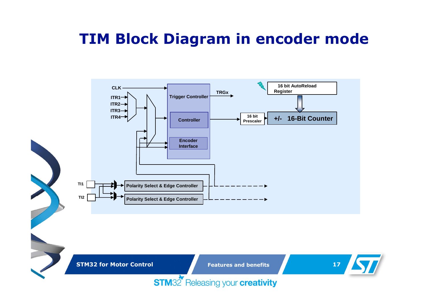### **TIM Block Diagram in encoder mode**



**STM32 for Motor Control**

**Features and benefits**

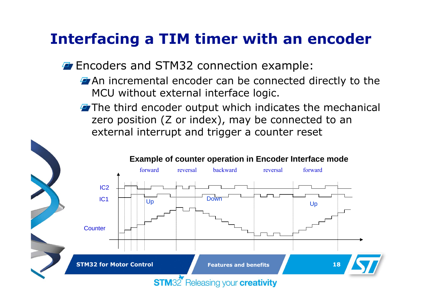### **Interfacing a TIM timer with an encoder**

**Exercise 25 FM32 connection example:** 

- **T** An incremental encoder can be connected directly to the MCU without external interface logic.
- $\blacktriangleright$  The third encoder output which indicates the mechanical zero position (Z or index), may be connected to an external interrupt and trigger a counter reset

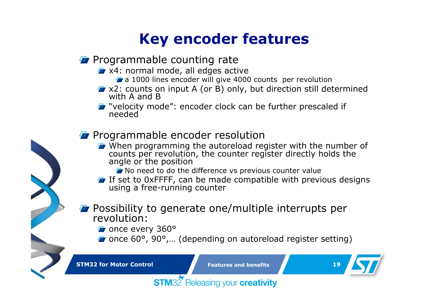### **Key encoder features**

### **P** Programmable counting rate

- **EX4:** normal mode, all edges active
	- **F** a 1000 lines encoder will give 4000 counts per revolution
- $\overline{P}$  x2: counts on input A (or B) only, but direction still determined with A and B

**T** "velocity mode": encoder clock can be further prescaled if needed

### **Programmable encoder resolution**

When programming the autoreload register with the number of counts per revolution, the counter register directly holds the angle or the position

No need to do the difference vs previous counter value

- If set to 0xFFFF, can be made compatible with previous designs using a free-running counter
- **Possibility to generate one/multiple interrupts per revolution:**

*F* once every 360°

**F** once 60°, 90°,... (depending on autoreload register setting)

**STM32 for Motor Control**

**Features and benefits**

**19**

Releasing your creativity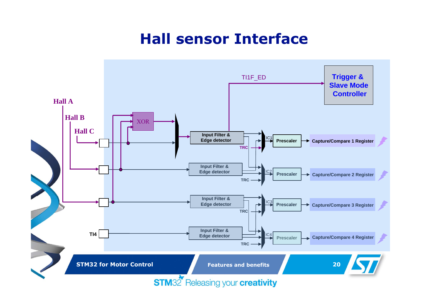### **Hall sensor Interface**

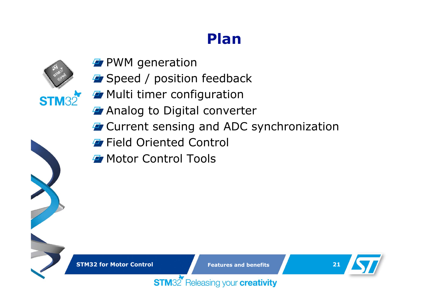### **Plan**



- **P** PWM generation
- **F** Speed / position feedback
- **F** Multi timer configuration
- *A* Analog to Digital converter
- **T** Current sensing and ADC synchronization
- **F** Field Oriented Control
- **F** Motor Control Tools

**STM32 for Motor Control**

**Features and benefits**

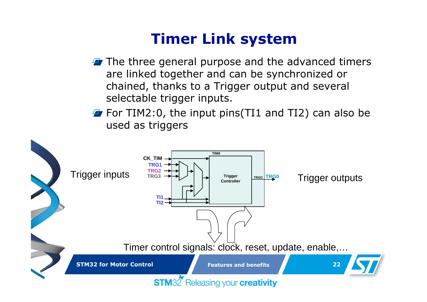### **Timer Link system**

- $\boldsymbol{\tau}$  The three general purpose and the advanced timers are linked together and can be synchronized or chained, thanks to a Trigger output and several selectable trigger inputs.
- $\blacktriangleright$  For TIM2:0, the input pins (TI1 and TI2) can also be used as triggers

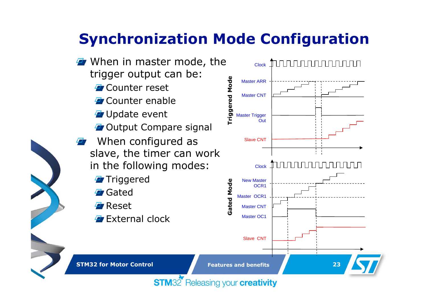## **Synchronization Mode Configuration**

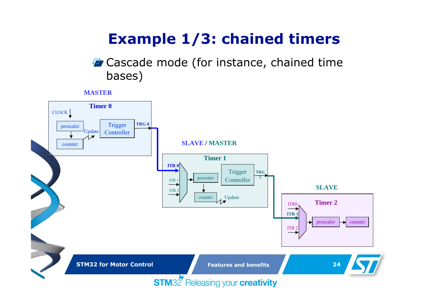## **Example 1/3: chained timers**

### **F** Cascade mode (for instance, chained time bases)

#### **MASTER**

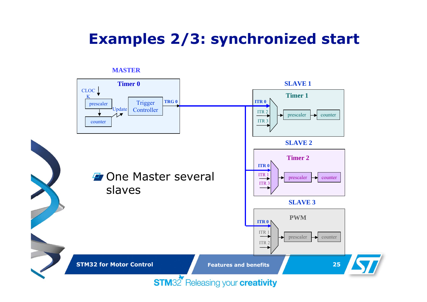### **Examples 2/3: synchronized start**



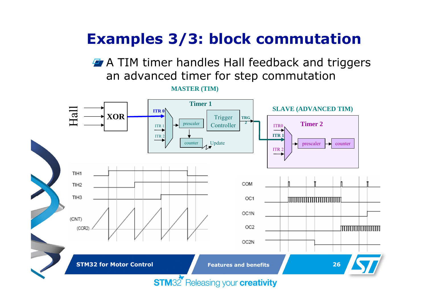### **Examples 3/3: block commutation**

**A** TIM timer handles Hall feedback and triggers an advanced timer for step commutation

**MASTER (TIM)**

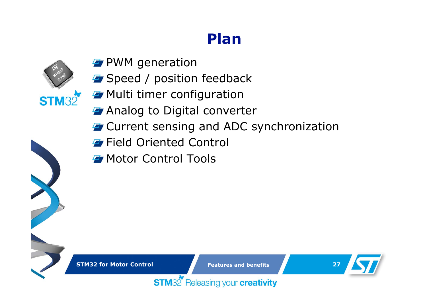### **Plan**



- **P** PWM generation
- **F** Speed / position feedback
- **F** Multi timer configuration
- *A* Analog to Digital converter
- **T** Current sensing and ADC synchronization
- **F** Field Oriented Control
- **F** Motor Control Tools

**STM32 for Motor Control**

**Features and benefits**

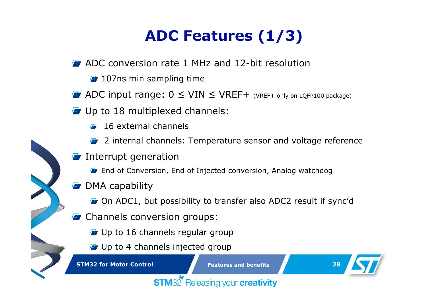## **ADC Features (1/3)**

- **E** ADC conversion rate 1 MHz and 12-bit resolution
	- $\overline{F}$  107ns min sampling time
- $\overline{P}$  ADC input range:  $0 \leq$  VIN  $\leq$  VREF+ (VREF+ only on LQFP100 package)
- *F* Up to 18 multiplexed channels:
	- 16 external channels
	- 2 internal channels: Temperature sensor and voltage reference
- Interrupt generation
	- **End of Conversion, End of Injected conversion, Analog watchdog**
- **E** DMA capability
	- **T** On ADC1, but possibility to transfer also ADC2 result if sync'd
- **F** Channels conversion groups:
	- **T** Up to 16 channels regular group
	- *F* Up to 4 channels injected group

**STM32 for Motor Control**

**Features and benefits**

**28**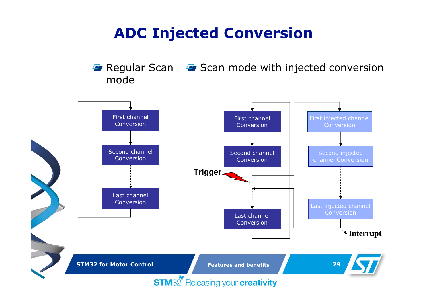### **ADC Injected Conversion**

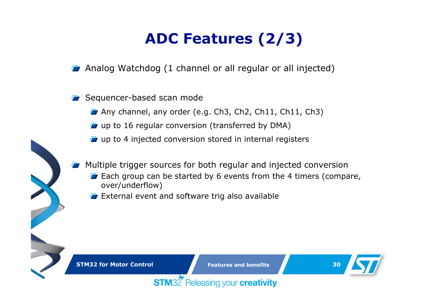## **ADC Features (2/3)**

**F** Analog Watchdog (1 channel or all regular or all injected)

#### Sequencer-based scan mode

 $\blacktriangleright$  Any channel, any order (e.g. Ch3, Ch2, Ch11, Ch11, Ch3)

- *F* up to 16 regular conversion (transferred by DMA)
- $\mathbf{F}$  up to 4 injected conversion stored in internal registers
- Multiple trigger sources for both regular and injected conversion
	- **E** Each group can be started by 6 events from the 4 timers (compare, over/underflow)
	- **EXTER 2018** External event and software trig also available

**STM32** 

**STM32 for Motor Control**

**Features and benefits**

Releasing your creativity

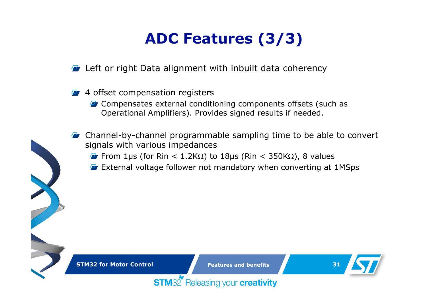## **ADC Features (3/3)**

**E** Left or right Data alignment with inbuilt data coherency

- 4 offset compensation registers
	- **F** Compensates external conditioning components offsets (such as Operational Amplifiers). Provides signed results if needed.
- Channel-by-channel programmable sampling time to be able to convert signals with various impedances
	- From 1µs (for Rin < 1.2K $\Omega$ ) to 18µs (Rin < 350K $\Omega$ ), 8 values
	- **External voltage follower not mandatory when converting at 1MSps**

**STM32** 

**Features and benefits**

Releasing your creativity

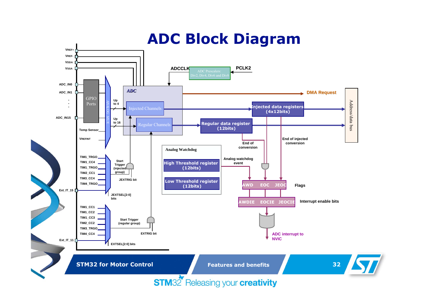### **ADC Block Diagram**

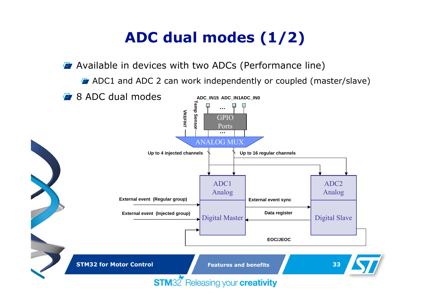## **ADC dual modes (1/2)**

**Available in devices with two ADCs (Performance line)** 

**ADC1** and ADC 2 can work independently or coupled (master/slave)

**F** 8 ADC dual modes



**STM32 for Motor Control**

**Features and benefits**

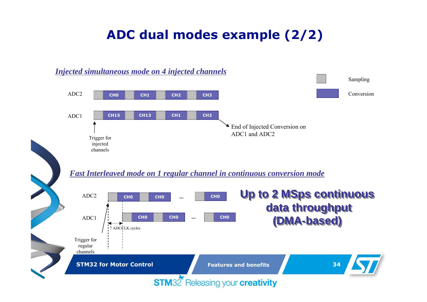### **ADC dual modes example (2/2)**

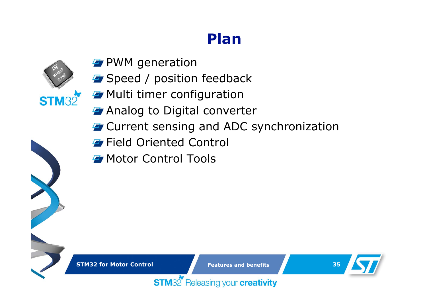### **Plan**



- **P** PWM generation
- **F** Speed / position feedback
- **F** Multi timer configuration
- *A* Analog to Digital converter
- **T** Current sensing and ADC synchronization
- **F** Field Oriented Control
- **F** Motor Control Tools

**STM32 for Motor Control**

**Features and benefits**

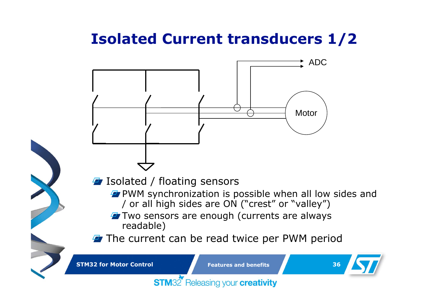### **Isolated Current transducers 1/2**

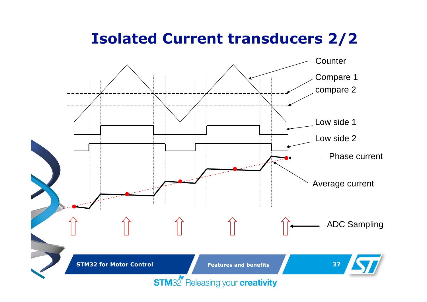### **Isolated Current transducers 2/2**

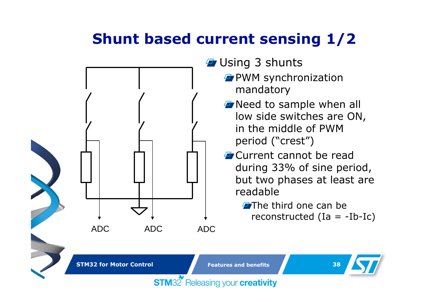## **Shunt based current sensing 1/2**



### **F** Using 3 shunts

- **PVM** synchronization mandatory
- **T** Need to sample when all low side switches are ON, in the middle of PWM period ("crest")
- **F** Current cannot be read during 33% of sine period, but two phases at least are readable
	- $\blacktriangleright$ The third one can be reconstructed  $(Ia = -Ib-Ic)$

**STM32 for Motor Control**

**Features and benefits**

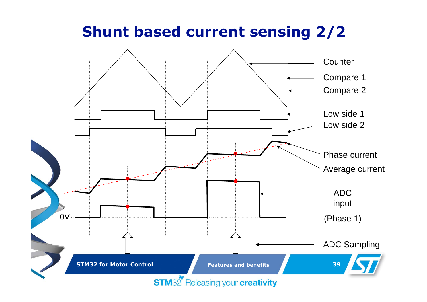### **Shunt based current sensing 2/2**

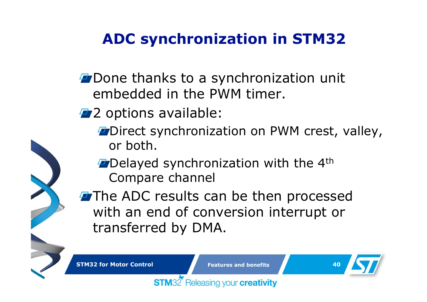## **ADC synchronization in STM32**

- **Done thanks to a synchronization unit** embedded in the PWM timer.
- **2** Options available:

**STM32** 

- **Direct synchronization on PWM crest, valley,** or both.
- **Delayed synchronization with the 4th** Compare channel

**The ADC results can be then processed** with an end of conversion interrupt or transferred by DMA.

**STM32 for Motor Control**

 **Features and benefits40**

Releasing your creativity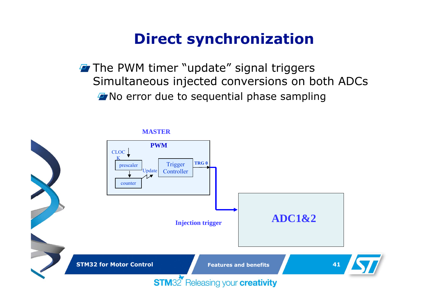### **Direct synchronization**

**The PWM timer "update" signal triggers** Simultaneous injected conversions on both ADCs **T** No error due to sequential phase sampling

#### **MASTER**

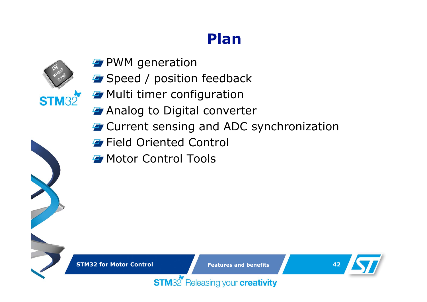### **Plan**



- **P** PWM generation
- **F** Speed / position feedback
- **F** Multi timer configuration
- *A* Analog to Digital converter
- **T** Current sensing and ADC synchronization
- **F** Field Oriented Control
- **F** Motor Control Tools

**STM32 for Motor Control**

**Features and benefits**



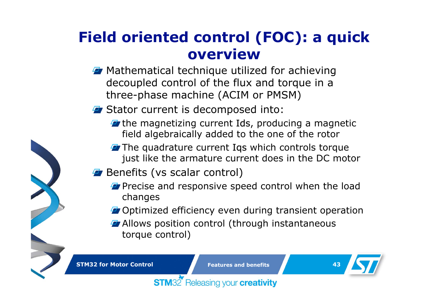### **Field oriented control (FOC): a quick overview**

- **T** Mathematical technique utilized for achieving decoupled control of the flux and torque in a three-phase machine (ACIM or PMSM)
- **F** Stator current is decomposed into:
	- $\boldsymbol{\tau}$  the magnetizing current Ids, producing a magnetic field algebraically added to the one of the rotor
	- $\overline{P}$  The quadrature current Iqs which controls torque just like the armature current does in the DC motor
- **Benefits (vs scalar control)** 
	- **P** Precise and responsive speed control when the load changes
	- **T** Optimized efficiency even during transient operation
	- **Allows position control (through instantaneous** torque control)

**STM32 for Motor Control**

 **Features and benefits43**

Releasing your creativity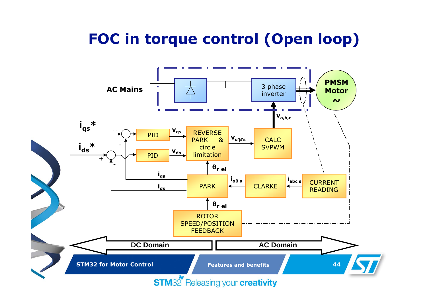## **FOC in torque control (Open loop)**

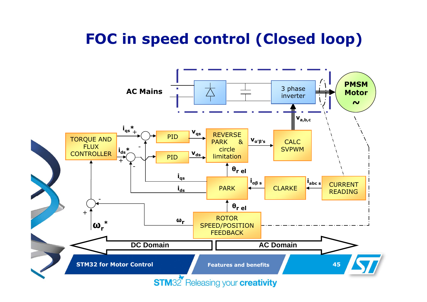### **FOC in speed control (Closed loop)**

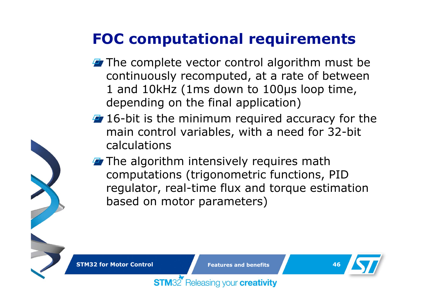## **FOC computational requirements**

- $\blacktriangleright$  The complete vector control algorithm must be continuously recomputed, at a rate of between 1 and 10kHz (1ms down to 100µs loop time, depending on the final application)
- $\overline{4}$  16-bit is the minimum required accuracy for the main control variables, with a need for 32-bit calculations
- $\blacktriangleright$  The algorithm intensively requires math computations (trigonometric functions, PID regulator, real-time flux and torque estimation based on motor parameters)

**STM32 for Motor Control**

**STM32** 

**Features and benefits**

Releasing your creativity

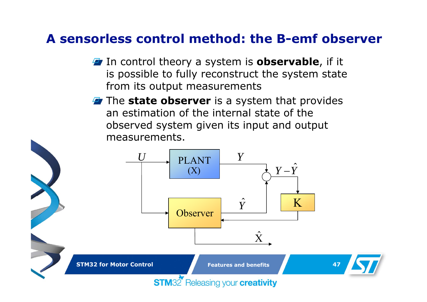### **A sensorless control method: the B-emf observer**

- **F** In control theory a system is **observable**, if it is possible to fully reconstruct the system state from its output measurements
- The **state observer** is a system that provides an estimation of the internal state of the observed system given its input and output measurements.

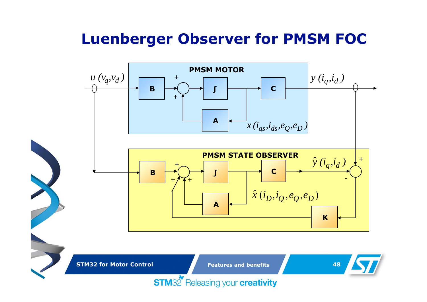### **Luenberger Observer for PMSM FOC**



**STM32 for Motor Control**

**Features and benefits**

**48**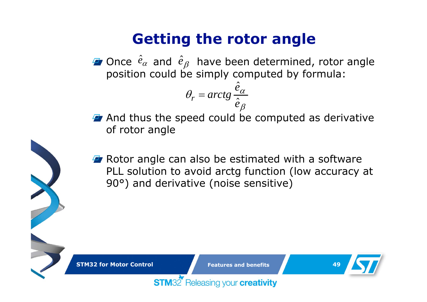### **Getting the rotor angle**

Once  $\hat{e}_{\alpha}$  and  $\hat{e}_{\beta}$  have been determined, rotor angle position could be simply computed by formula:  $\hat{e}_\alpha$  and  $\hat{e}_\beta$ 

ˆ

$$
\theta_r = \arctg \frac{e_\alpha}{\hat{e}_\beta}
$$

- **And thus the speed could be computed as derivative** of rotor angle
- **F** Rotor angle can also be estimated with a software PLL solution to avoid arctg function (low accuracy at 90°) and derivative (noise sensitive)

**STM32 for Motor Control**

**Features and benefits**

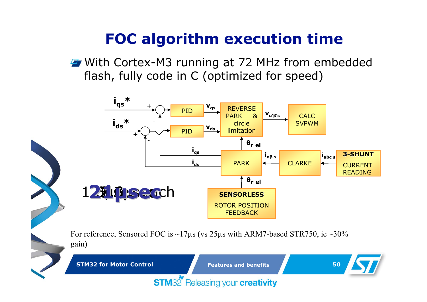### **FOC algorithm execution time**

**F** With Cortex-M3 running at 72 MHz from embedded flash, fully code in C (optimized for speed)



For reference, Sensored FOC is  $\sim$ 17 $\mu$ s (vs 25 $\mu$ s with ARM7-based STR750, ie  $\sim$ 30% gain)

**STM32** Releasing your **creativity** 

**STM32 for Motor Control**

**Features and benefits**

**50**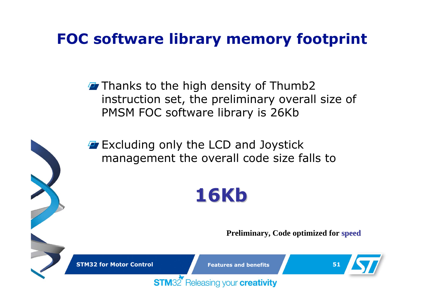## **FOC software library memory footprint**

- $\overline{P}$  Thanks to the high density of Thumb2 instruction set, the preliminary overall size of PMSM FOC software library is 26Kb
- $\overline{P}$  Excluding only the LCD and Joystick management the overall code size falls to

# **16Kb**

**Preliminary, Code optimized for speed**

**STM32 for Motor Control**

**STM32** 

**Features and benefits**

Releasing your creativity

**51**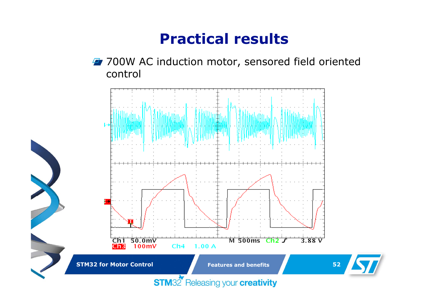### **Practical results**

**47 700W AC induction motor, sensored field oriented** control

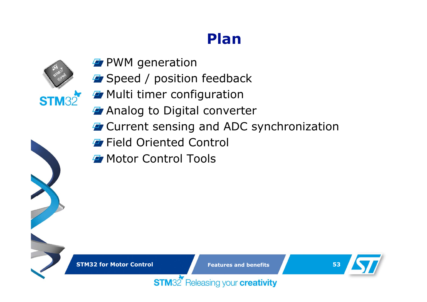### **Plan**



- **P** PWM generation
- **F** Speed / position feedback
- **F** Multi timer configuration
- *A* Analog to Digital converter
- **T** Current sensing and ADC synchronization
- **F** Field Oriented Control
- **F** Motor Control Tools

**STM32 for Motor Control**

**Features and benefits**

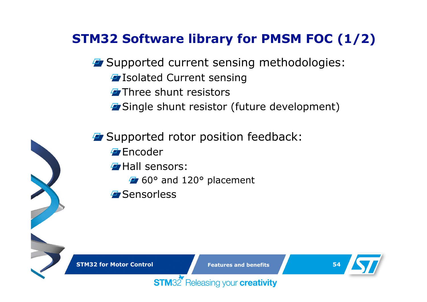### **STM32 Software library for PMSM FOC (1/2)**

- **F** Supported current sensing methodologies:
	- **T** Isolated Current sensing
	- **Three shunt resistors**
	- **T** Single shunt resistor (future development)
- **F** Supported rotor position feedback: **Encoder Hall sensors:** 60° and 120° placement **F** Sensorless

**STM32 for Motor Control**

**Features and benefits**



Releasing your creativity **STM32**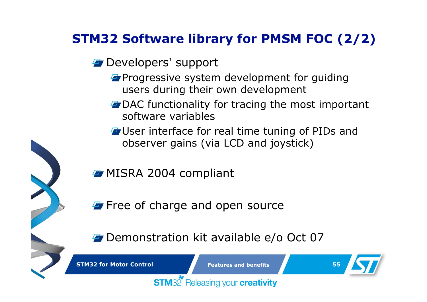### **STM32 Software library for PMSM FOC (2/2)**

- *F* Developers' support
	- **Progressive system development for guiding** users during their own development
	- **T** DAC functionality for tracing the most important software variables
	- **T** User interface for real time tuning of PIDs and observer gains (via LCD and joystick)
- **F** MISRA 2004 compliant

**STM32** 

- **F** Free of charge and open source
- **Demonstration kit available e/o Oct 07**

**STM32 for Motor Control**

**Features and benefits**

Releasing your creativity

**55**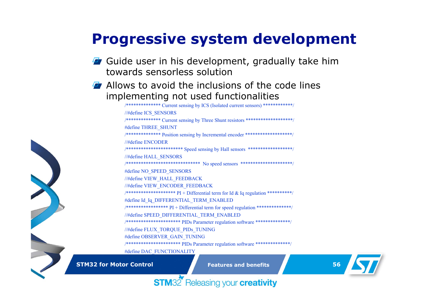### **Progressive system development**

- **F** Guide user in his development, gradually take him towards sensorless solution
- **F** Allows to avoid the inclusions of the code lines implementing not used functionalities

/\*\*\*\*\*\*\*\*\*\*\*\*\*\* Current sensing by ICS (Isolated current sensors) \*\*\*\*\*\*\*\*\*\*\*\*/ //#define ICS\_SENSORS /\*\*\*\*\*\*\*\*\*\*\*\*\*\* Current sensing by Three Shunt resistors \*\*\*\*\*\*\*\*\*\*\*\*\*\*\*\*\*\*\*/ #define THREE\_SHUNT /\*\*\*\*\*\*\*\*\*\*\*\*\*\* Position sensing by Incremental encoder \*\*\*\*\*\*\*\*\*\*\*\*\*\*\*\*\*\*\*/ //#define ENCODER/\*\*\*\*\*\*\*\*\*\*\*\*\*\*\*\*\*\*\*\*\*\*\* Speed sensing by Hall sensors \*\*\*\*\*\*\*\*\*\*\*\*\*\*\*\*\*\*/ //#define HALL\_SENSORS /\*\*\*\*\*\*\*\*\*\*\*\*\*\*\*\*\*\*\*\*\*\*\*\*\*\*\*\*\*\* No speed sensors \*\*\*\*\*\*\*\*\*\*\*\*\*\*\*\*\*\*\*\*\*/ #define NO\_SPEED\_SENSORS //#define VIEW\_HALL\_FEEDBACK //#define VIEW\_ENCODER\_FEEDBACK /\*\*\*\*\*\*\*\*\*\*\*\*\*\*\*\*\*\*\*\* PI + Differential term for Id & Iq regulation \*\*\*\*\*\*\*\*\*\*/ #define Id Iq\_DIFFERENTIAL\_TERM\_ENABLED  $/******************* * * PI + Differential term for speed regulation*****************$ //#define SPEED\_DIFFERENTIAL\_TERM\_ENABLED /\*\*\*\*\*\*\*\*\*\*\*\*\*\*\*\*\*\*\*\*\*\* PIDs Parameter regulation software \*\*\*\*\*\*\*\*\*\*\*\*\*\*/ //#define FLUX\_TORQUE\_PIDs\_TUNING #define OBSERVER\_GAIN\_TUNING /\*\*\*\*\*\*\*\*\*\*\*\*\*\*\*\*\*\*\*\*\*\* PIDs Parameter regulation software \*\*\*\*\*\*\*\*\*\*\*\*\*\*/

#define DAC\_FUNCTIONALITY

**STM32 for Motor Control**

**Features and benefits**

**56**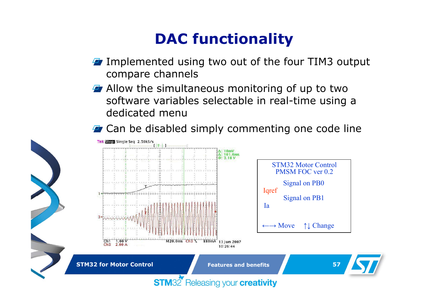### **DAC functionality**

- **I** Implemented using two out of the four TIM3 output compare channels
- **Allow the simultaneous monitoring of up to two** software variables selectable in real-time using a dedicated menu
- **F** Can be disabled simply commenting one code line

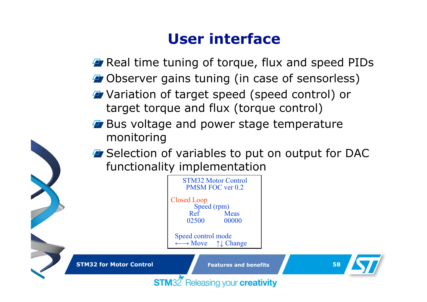### **User interface**

**F** Real time tuning of torque, flux and speed PIDs

- **F** Observer gains tuning (in case of sensorless)
- **F** Variation of target speed (speed control) or target torque and flux (torque control)
- **Bus voltage and power stage temperature** monitoring
- **E** Selection of variables to put on output for DAC functionality implementation

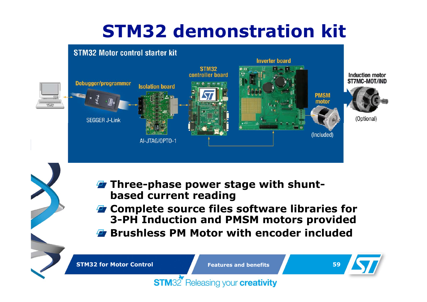# **STM32 demonstration kit**



- **Three-phase power stage with shuntbased current reading**
- **Z** Complete source files software libraries for **3-PH Induction and PMSM motors provided Brushless PM Motor with encoder included**

**STM32 for Motor Control**

**Features and benefits**

**59**